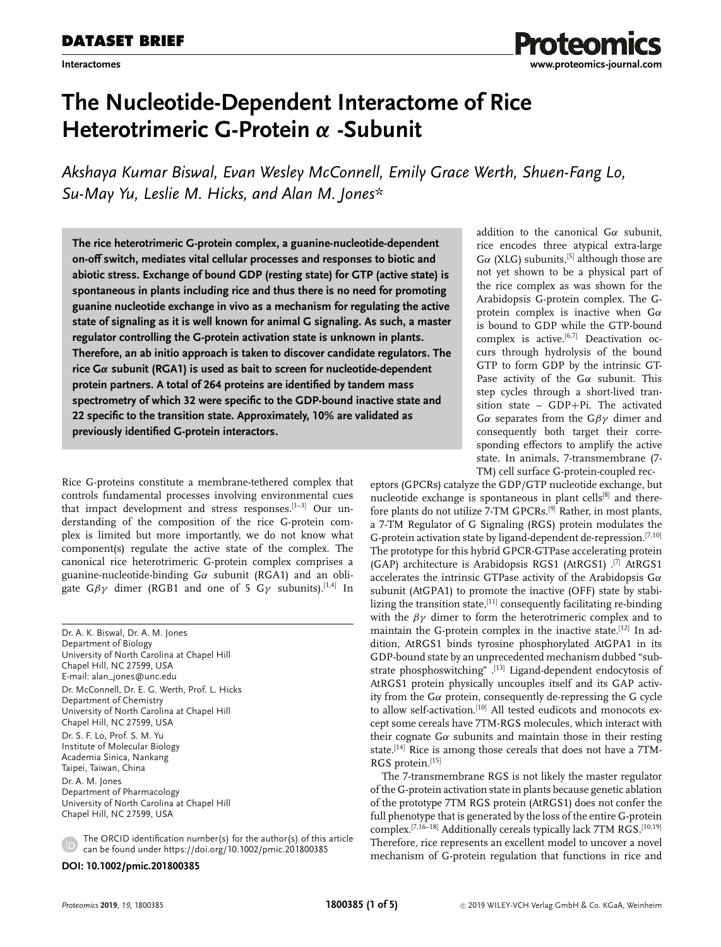# **The Nucleotide-Dependent Interactome of Rice Heterotrimeric G-Protein** *α* **-Subunit**

*Akshaya Kumar Biswal, Evan Wesley McConnell, Emily Grace Werth, Shuen-Fang Lo, Su-May Yu, Leslie M. Hicks, and Alan M. Jones\**

**The rice heterotrimeric G-protein complex, a guanine-nucleotide-dependent on-off switch, mediates vital cellular processes and responses to biotic and abiotic stress. Exchange of bound GDP (resting state) for GTP (active state) is spontaneous in plants including rice and thus there is no need for promoting guanine nucleotide exchange in vivo as a mechanism for regulating the active state of signaling as it is well known for animal G signaling. As such, a master regulator controlling the G-protein activation state is unknown in plants. Therefore, an ab initio approach is taken to discover candidate regulators. The rice G***α* **subunit (RGA1) is used as bait to screen for nucleotide-dependent protein partners. A total of 264 proteins are identified by tandem mass spectrometry of which 32 were specific to the GDP-bound inactive state and 22 specific to the transition state. Approximately, 10% are validated as previously identified G-protein interactors.**

Rice G-proteins constitute a membrane-tethered complex that controls fundamental processes involving environmental cues that impact development and stress responses. $[1-3]$  Our understanding of the composition of the rice G-protein complex is limited but more importantly, we do not know what component(s) regulate the active state of the complex. The canonical rice heterotrimeric G-protein complex comprises a guanine-nucleotide-binding  $G\alpha$  subunit (RGA1) and an obligate  $G\beta\gamma$  dimer (RGB1 and one of 5 G $\gamma$  subunits).<sup>[1,4]</sup> In

Dr. A. K. Biswal, Dr. A. M. Jones Department of Biology University of North Carolina at Chapel Hill Chapel Hill, NC 27599, USA E-mail: [alan\\_jones@unc.edu](mailto:alan_jones@unc.edu) Dr. McConnell, Dr. E. G. Werth, Prof. L. Hicks Department of Chemistry University of North Carolina at Chapel Hill Chapel Hill, NC 27599, USA Dr. S. F. Lo, Prof. S. M. Yu Institute of Molecular Biology Academia Sinica, Nankang Taipei, Taiwan, China Dr. A. M. Jones Department of Pharmacology University of North Carolina at Chapel Hill Chapel Hill, NC 27599, USA

The ORCID identification number(s) for the author(s) of this article can be found under<https://doi.org/10.1002/pmic.201800385>

**DOI: 10.1002/pmic.201800385**

addition to the canonical  $G\alpha$  subunit, rice encodes three atypical extra-large  $G\alpha$  (XLG) subunits,<sup>[5]</sup> although those are not yet shown to be a physical part of the rice complex as was shown for the Arabidopsis G-protein complex. The Gprotein complex is inactive when  $G\alpha$ is bound to GDP while the GTP-bound complex is active.<sup>[6,7]</sup> Deactivation occurs through hydrolysis of the bound GTP to form GDP by the intrinsic GT-Pase activity of the  $G\alpha$  subunit. This step cycles through a short-lived transition state – GDP+Pi. The activated Gα separates from the  $Gβγ$  dimer and consequently both target their corresponding effectors to amplify the active state. In animals, 7-transmembrane (7- TM) cell surface G-protein-coupled rec-

eptors (GPCRs) catalyze the GDP/GTP nucleotide exchange, but nucleotide exchange is spontaneous in plant cells<sup>[8]</sup> and therefore plants do not utilize 7-TM GPCRs.[9] Rather, in most plants, a 7-TM Regulator of G Signaling (RGS) protein modulates the G-protein activation state by ligand-dependent de-repression.[7,10] The prototype for this hybrid GPCR-GTPase accelerating protein (GAP) architecture is Arabidopsis RGS1 (AtRGS1) .[7] AtRGS1 accelerates the intrinsic GTPase activity of the Arabidopsis  $G\alpha$ subunit (AtGPA1) to promote the inactive (OFF) state by stabilizing the transition state, $[11]$  consequently facilitating re-binding with the  $\beta\gamma$  dimer to form the heterotrimeric complex and to maintain the G-protein complex in the inactive state.[12] In addition, AtRGS1 binds tyrosine phosphorylated AtGPA1 in its GDP-bound state by an unprecedented mechanism dubbed "substrate phosphoswitching" .[13] Ligand-dependent endocytosis of AtRGS1 protein physically uncouples itself and its GAP activity from the G $\alpha$  protein, consequently de-repressing the G cycle to allow self-activation.<sup>[10]</sup> All tested eudicots and monocots except some cereals have 7TM-RGS molecules, which interact with their cognate  $G\alpha$  subunits and maintain those in their resting state.[14] Rice is among those cereals that does not have a 7TM-RGS protein.[15]

The 7-transmembrane RGS is not likely the master regulator of the G-protein activation state in plants because genetic ablation of the prototype 7TM RGS protein (AtRGS1) does not confer the full phenotype that is generated by the loss of the entire G-protein complex.<sup>[7,16-18]</sup> Additionally cereals typically lack 7TM RGS.<sup>[10,19]</sup> Therefore, rice represents an excellent model to uncover a novel mechanism of G-protein regulation that functions in rice and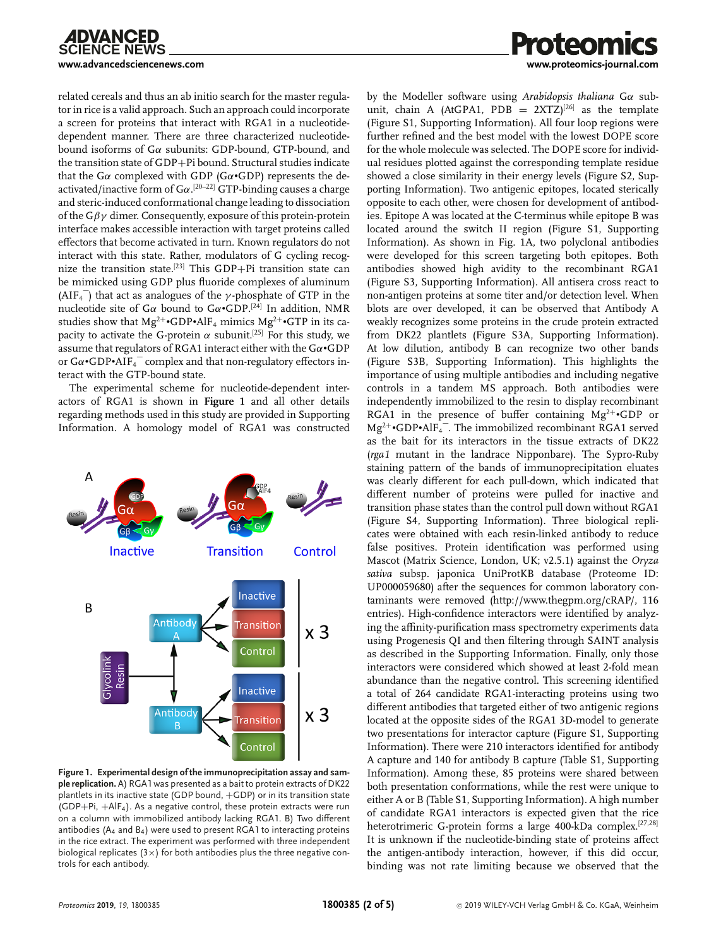

**[www.advancedsciencenews.com](http://www.advancedsciencenews.com) [www.proteomics-journal.com](http://www.proteomics-journal.com)** related cereals and thus an ab initio search for the master regulator in rice is a valid approach. Such an approach could incorporate a screen for proteins that interact with RGA1 in a nucleotidedependent manner. There are three characterized nucleotidebound isoforms of Gα subunits: GDP-bound, GTP-bound, and the transition state of GDP+Pi bound. Structural studies indicate

that the G $\alpha$  complexed with GDP (G $\alpha$ •GDP) represents the deactivated/inactive form of  $G\alpha$ .<sup>[20–22]</sup> GTP-binding causes a charge and steric-induced conformational change leading to dissociation of the  $G\beta\gamma$  dimer. Consequently, exposure of this protein-protein interface makes accessible interaction with target proteins called effectors that become activated in turn. Known regulators do not interact with this state. Rather, modulators of G cycling recognize the transition state.[23] This GDP+Pi transition state can be mimicked using GDP plus fluoride complexes of aluminum (AIF<sub>4</sub> $\bar{ }$ ) that act as analogues of the *γ*-phosphate of GTP in the nucleotide site of G $\alpha$  bound to G $\alpha$ •GDP.<sup>[24]</sup> In addition, NMR studies show that  $Mg^{2+} \cdot GDP \cdot AlF_4$  mimics  $Mg^{2+} \cdot GTP$  in its capacity to activate the G-protein  $\alpha$  subunit.<sup>[25]</sup> For this study, we assume that regulators of RGA1 interact either with the  $Ga \cdot GDP$ or  $G\alpha$ •GDP•AIF<sub>4</sub> $^-$  complex and that non-regulatory effectors interact with the GTP-bound state.

The experimental scheme for nucleotide-dependent interactors of RGA1 is shown in **Figure 1** and all other details regarding methods used in this study are provided in Supporting Information. A homology model of RGA1 was constructed



**Figure 1. Experimental design of the immunoprecipitation assay and sample replication.** A) RGA1 was presented as a bait to protein extracts of DK22 plantlets in its inactive state (GDP bound, +GDP) or in its transition state (GDP+Pi, +AlF4). As a negative control, these protein extracts were run on a column with immobilized antibody lacking RGA1. B) Two different antibodies ( $A_4$  and  $B_4$ ) were used to present RGA1 to interacting proteins in the rice extract. The experiment was performed with three independent biological replicates ( $3\times$ ) for both antibodies plus the three negative controls for each antibody.

by the Modeller software using *Arabidopsis thaliana* Gα subunit, chain A (AtGPA1, PDB =  $2XTZ$ )<sup>[26]</sup> as the template (Figure S1, Supporting Information). All four loop regions were further refined and the best model with the lowest DOPE score for the whole molecule was selected. The DOPE score for individual residues plotted against the corresponding template residue showed a close similarity in their energy levels (Figure S2, Supporting Information). Two antigenic epitopes, located sterically opposite to each other, were chosen for development of antibodies. Epitope A was located at the C-terminus while epitope B was located around the switch II region (Figure S1, Supporting Information). As shown in Fig. 1A, two polyclonal antibodies were developed for this screen targeting both epitopes. Both antibodies showed high avidity to the recombinant RGA1 (Figure S3, Supporting Information). All antisera cross react to non-antigen proteins at some titer and/or detection level. When blots are over developed, it can be observed that Antibody A weakly recognizes some proteins in the crude protein extracted from DK22 plantlets (Figure S3A, Supporting Information). At low dilution, antibody B can recognize two other bands (Figure S3B, Supporting Information). This highlights the importance of using multiple antibodies and including negative controls in a tandem MS approach. Both antibodies were independently immobilized to the resin to display recombinant RGA1 in the presence of buffer containing  $Mg^{2+}$ •GDP or  $Mg^{2+}$ •GDP•AlF<sub>4</sub><sup>-</sup>. The immobilized recombinant RGA1 served as the bait for its interactors in the tissue extracts of DK22 (*rga1* mutant in the landrace Nipponbare). The Sypro-Ruby staining pattern of the bands of immunoprecipitation eluates was clearly different for each pull-down, which indicated that different number of proteins were pulled for inactive and transition phase states than the control pull down without RGA1 (Figure S4, Supporting Information). Three biological replicates were obtained with each resin-linked antibody to reduce false positives. Protein identification was performed using Mascot (Matrix Science, London, UK; v2.5.1) against the *Oryza sativa* subsp. japonica UniProtKB database (Proteome ID: UP000059680) after the sequences for common laboratory contaminants were removed [\(http://www.thegpm.org/cRAP/,](http://www.thegpm.org/cRAP/) 116 entries). High-confidence interactors were identified by analyzing the affinity-purification mass spectrometry experiments data using Progenesis QI and then filtering through SAINT analysis as described in the Supporting Information. Finally, only those interactors were considered which showed at least 2-fold mean abundance than the negative control. This screening identified a total of 264 candidate RGA1-interacting proteins using two different antibodies that targeted either of two antigenic regions located at the opposite sides of the RGA1 3D-model to generate two presentations for interactor capture (Figure S1, Supporting Information). There were 210 interactors identified for antibody A capture and 140 for antibody B capture (Table S1, Supporting Information). Among these, 85 proteins were shared between both presentation conformations, while the rest were unique to either A or B (Table S1, Supporting Information). A high number of candidate RGA1 interactors is expected given that the rice heterotrimeric G-protein forms a large 400-kDa complex.[27,28] It is unknown if the nucleotide-binding state of proteins affect the antigen-antibody interaction, however, if this did occur, binding was not rate limiting because we observed that the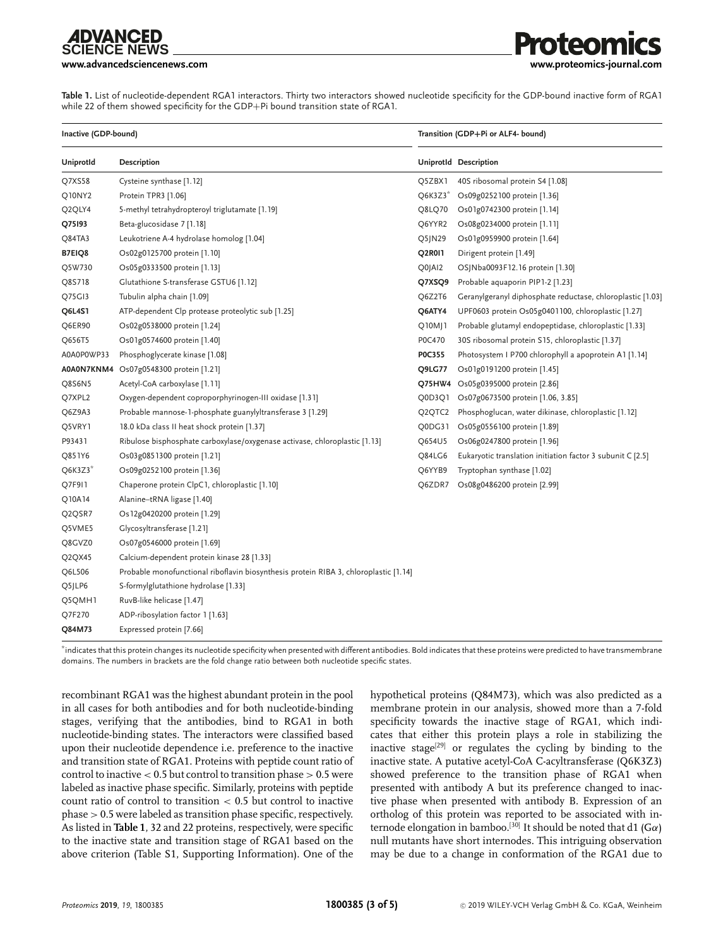**CIFNCF NFWS** 

**[www.advancedsciencenews.com](http://www.advancedsciencenews.com) [www.proteomics-journal.com](http://www.proteomics-journal.com)**

**Table 1.** List of nucleotide-dependent RGA1 interactors. Thirty two interactors showed nucleotide specificity for the GDP-bound inactive form of RGA1 while 22 of them showed specificity for the GDP+Pi bound transition state of RGA1.

| Inactive (GDP-bound)            |                                                                                      | Transition (GDP+Pi or ALF4- bound) |                                                            |
|---------------------------------|--------------------------------------------------------------------------------------|------------------------------------|------------------------------------------------------------|
| Uniprotld                       | <b>Description</b>                                                                   |                                    | UniprotId Description                                      |
| Q7XS58                          | Cysteine synthase [1.12]                                                             | Q5ZBX1                             | 40S ribosomal protein S4 [1.08]                            |
| Q10NY2                          | Protein TPR3 [1.06]                                                                  | Q6K3Z3*                            | Os09g0252100 protein [1.36]                                |
| Q2QLY4                          | 5-methyl tetrahydropteroyl triglutamate [1.19]                                       | Q8LQ70                             | Os01g0742300 protein [1.14]                                |
| Q75193                          | Beta-glucosidase 7 [1.18]                                                            | Q6YYR2                             | Os08g0234000 protein [1.11]                                |
| Q84TA3                          | Leukotriene A-4 hydrolase homolog [1.04]                                             | Q5JN29                             | Os01g0959900 protein [1.64]                                |
| B7EIQ8                          | Os02g0125700 protein [1.10]                                                          | Q2R011                             | Dirigent protein [1.49]                                    |
| Q5W730                          | Os05g0333500 protein [1.13]                                                          | Q0JAI2                             | OSJNba0093F12.16 protein [1.30]                            |
| Q8S718                          | Glutathione S-transferase GSTU6 [1.12]                                               | Q7XSQ9                             | Probable aquaporin PIP1-2 [1.23]                           |
| Q75GI3                          | Tubulin alpha chain [1.09]                                                           | Q6Z2T6                             | Geranylgeranyl diphosphate reductase, chloroplastic [1.03] |
| Q6L4S1                          | ATP-dependent Clp protease proteolytic sub [1.25]                                    | Q6ATY4                             | UPF0603 protein Os05g0401100, chloroplastic [1.27]         |
| Q6ER90                          | Os02g0538000 protein [1.24]                                                          | Q10MJ1                             | Probable glutamyl endopeptidase, chloroplastic [1.33]      |
| Q656T5                          | Os01g0574600 protein [1.40]                                                          | P0C470                             | 30S ribosomal protein S15, chloroplastic [1.37]            |
| A0A0P0WP33                      | Phosphoglycerate kinase [1.08]                                                       | P0C355                             | Photosystem I P700 chlorophyll a apoprotein A1 [1.14]      |
|                                 | A0A0N7KNM4 Os07g0548300 protein [1.21]                                               | Q9LG77                             | Os01g0191200 protein [1.45]                                |
| Q8S6N5                          | Acetyl-CoA carboxylase [1.11]                                                        |                                    | Q75HW4 Os05g0395000 protein [2.86]                         |
| Q7XPL2                          | Oxygen-dependent coproporphyrinogen-III oxidase [1.31]                               | Q0D3Q1                             | Os07g0673500 protein [1.06, 3.85]                          |
| Q6Z9A3                          | Probable mannose-1-phosphate guanylyltransferase 3 [1.29]                            | Q <sub>2</sub> QTC <sub>2</sub>    | Phosphoglucan, water dikinase, chloroplastic [1.12]        |
| Q5VRY1                          | 18.0 kDa class II heat shock protein [1.37]                                          | Q0DG31                             | Os05g0556100 protein [1.89]                                |
| P93431                          | Ribulose bisphosphate carboxylase/oxygenase activase, chloroplastic [1.13]           | Q654U5                             | Os06g0247800 protein [1.96]                                |
| Q851Y6                          | Os03g0851300 protein [1.21]                                                          | Q84LG6                             | Eukaryotic translation initiation factor 3 subunit C [2.5] |
| $Q6K3Z3*$                       | Os09g0252100 protein [1.36]                                                          | Q6YYB9                             | Tryptophan synthase [1.02]                                 |
| Q7F9I1                          | Chaperone protein ClpC1, chloroplastic [1.10]                                        | Q6ZDR7                             | Os08g0486200 protein [2.99]                                |
| Q10A14                          | Alanine-tRNA ligase [1.40]                                                           |                                    |                                                            |
| Q2QSR7                          | Os 12g0420200 protein [1.29]                                                         |                                    |                                                            |
| Q5VME5                          | Glycosyltransferase [1.21]                                                           |                                    |                                                            |
| Q8GVZ0                          | Os07g0546000 protein [1.69]                                                          |                                    |                                                            |
| Q <sub>2</sub> QX <sub>45</sub> | Calcium-dependent protein kinase 28 [1.33]                                           |                                    |                                                            |
| Q6L506                          | Probable monofunctional riboflavin biosynthesis protein RIBA 3, chloroplastic [1.14] |                                    |                                                            |
| Q5JLP6                          | S-formylglutathione hydrolase [1.33]                                                 |                                    |                                                            |
| Q5QMH1                          | RuvB-like helicase [1.47]                                                            |                                    |                                                            |
| Q7F270                          | ADP-ribosylation factor 1 [1.63]                                                     |                                    |                                                            |
| Q84M73                          | Expressed protein [7.66]                                                             |                                    |                                                            |

\*indicates that this protein changes its nucleotide specificity when presented with different antibodies. Bold indicates that these proteins were predicted to have transmembrane domains. The numbers in brackets are the fold change ratio between both nucleotide specific states.

recombinant RGA1 was the highest abundant protein in the pool in all cases for both antibodies and for both nucleotide-binding stages, verifying that the antibodies, bind to RGA1 in both nucleotide-binding states. The interactors were classified based upon their nucleotide dependence i.e. preference to the inactive and transition state of RGA1. Proteins with peptide count ratio of control to inactive  $< 0.5$  but control to transition phase  $> 0.5$  were labeled as inactive phase specific. Similarly, proteins with peptide count ratio of control to transition < 0.5 but control to inactive phase > 0.5 were labeled as transition phase specific, respectively. As listed in **Table 1**, 32 and 22 proteins, respectively, were specific to the inactive state and transition stage of RGA1 based on the above criterion (Table S1, Supporting Information). One of the

hypothetical proteins (Q84M73), which was also predicted as a membrane protein in our analysis, showed more than a 7-fold specificity towards the inactive stage of RGA1, which indicates that either this protein plays a role in stabilizing the inactive stage<sup>[29]</sup> or regulates the cycling by binding to the inactive state. A putative acetyl-CoA C-acyltransferase (Q6K3Z3) showed preference to the transition phase of RGA1 when presented with antibody A but its preference changed to inactive phase when presented with antibody B. Expression of an ortholog of this protein was reported to be associated with internode elongation in bamboo.<sup>[30]</sup> It should be noted that d1 (G $\alpha$ ) null mutants have short internodes. This intriguing observation may be due to a change in conformation of the RGA1 due to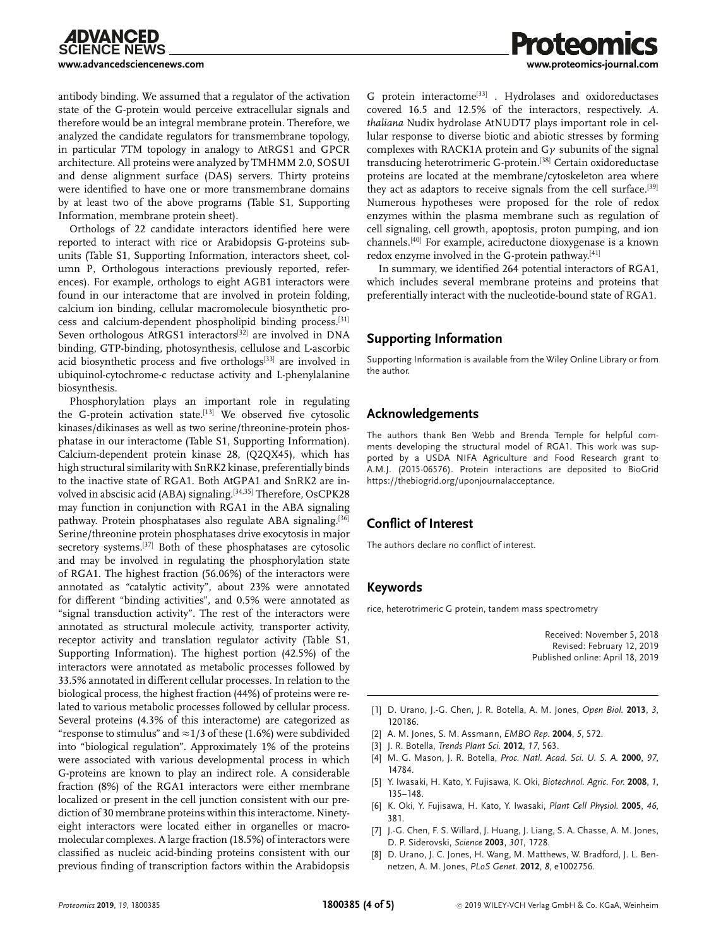antibody binding. We assumed that a regulator of the activation state of the G-protein would perceive extracellular signals and therefore would be an integral membrane protein. Therefore, we analyzed the candidate regulators for transmembrane topology, in particular 7TM topology in analogy to AtRGS1 and GPCR architecture. All proteins were analyzed by TMHMM 2.0, SOSUI and dense alignment surface (DAS) servers. Thirty proteins were identified to have one or more transmembrane domains by at least two of the above programs (Table S1, Supporting Information, membrane protein sheet).

Orthologs of 22 candidate interactors identified here were reported to interact with rice or Arabidopsis G-proteins subunits (Table S1, Supporting Information, interactors sheet, column P, Orthologous interactions previously reported, references). For example, orthologs to eight AGB1 interactors were found in our interactome that are involved in protein folding, calcium ion binding, cellular macromolecule biosynthetic process and calcium-dependent phospholipid binding process.[31] Seven orthologous AtRGS1 interactors<sup>[32]</sup> are involved in DNA binding, GTP-binding, photosynthesis, cellulose and L-ascorbic acid biosynthetic process and five orthologs<sup>[33]</sup> are involved in ubiquinol-cytochrome-c reductase activity and L-phenylalanine biosynthesis.

Phosphorylation plays an important role in regulating the G-protein activation state.<sup>[13]</sup> We observed five cytosolic kinases/dikinases as well as two serine/threonine-protein phosphatase in our interactome (Table S1, Supporting Information). Calcium-dependent protein kinase 28, (Q2QX45), which has high structural similarity with SnRK2 kinase, preferentially binds to the inactive state of RGA1. Both AtGPA1 and SnRK2 are involved in abscisic acid (ABA) signaling.<sup>[34,35]</sup> Therefore, OsCPK28 may function in conjunction with RGA1 in the ABA signaling pathway. Protein phosphatases also regulate ABA signaling.<sup>[36]</sup> Serine/threonine protein phosphatases drive exocytosis in major secretory systems.[37] Both of these phosphatases are cytosolic and may be involved in regulating the phosphorylation state of RGA1. The highest fraction (56.06%) of the interactors were annotated as "catalytic activity", about 23% were annotated for different "binding activities", and 0.5% were annotated as "signal transduction activity". The rest of the interactors were annotated as structural molecule activity, transporter activity, receptor activity and translation regulator activity (Table S1, Supporting Information). The highest portion (42.5%) of the interactors were annotated as metabolic processes followed by 33.5% annotated in different cellular processes. In relation to the biological process, the highest fraction (44%) of proteins were related to various metabolic processes followed by cellular process. Several proteins (4.3% of this interactome) are categorized as "response to stimulus" and  $\approx$  1/3 of these (1.6%) were subdivided into "biological regulation". Approximately 1% of the proteins were associated with various developmental process in which G-proteins are known to play an indirect role. A considerable fraction (8%) of the RGA1 interactors were either membrane localized or present in the cell junction consistent with our prediction of 30 membrane proteins within this interactome. Ninetyeight interactors were located either in organelles or macromolecular complexes. A large fraction (18.5%) of interactors were classified as nucleic acid-binding proteins consistent with our previous finding of transcription factors within the Arabidopsis

G protein interactome<sup>[33]</sup> . Hydrolases and oxidoreductases covered 16.5 and 12.5% of the interactors, respectively. *A. thaliana* Nudix hydrolase AtNUDT7 plays important role in cellular response to diverse biotic and abiotic stresses by forming complexes with RACK1A protein and  $G\gamma$  subunits of the signal transducing heterotrimeric G-protein.[38] Certain oxidoreductase proteins are located at the membrane/cytoskeleton area where they act as adaptors to receive signals from the cell surface.<sup>[39]</sup> Numerous hypotheses were proposed for the role of redox enzymes within the plasma membrane such as regulation of cell signaling, cell growth, apoptosis, proton pumping, and ion channels.[40] For example, acireductone dioxygenase is a known redox enzyme involved in the G-protein pathway.<sup>[41]</sup>

In summary, we identified 264 potential interactors of RGA1, which includes several membrane proteins and proteins that preferentially interact with the nucleotide-bound state of RGA1.

## **Supporting Information**

Supporting Information is available from the Wiley Online Library or from the author.

### **Acknowledgements**

The authors thank Ben Webb and Brenda Temple for helpful comments developing the structural model of RGA1. This work was supported by a USDA NIFA Agriculture and Food Research grant to A.M.J. (2015-06576). Protein interactions are deposited to BioGrid [https://thebiogrid.org/uponjournalacceptance.](https://thebiogrid.org/uponjournalacceptance)

## **Conflict of Interest**

The authors declare no conflict of interest.

#### **Keywords**

rice, heterotrimeric G protein, tandem mass spectrometry

Received: November 5, 2018 Revised: February 12, 2019 Published online: April 18, 2019

- [1] D. Urano, J.-G. Chen, J. R. Botella, A. M. Jones, *Open Biol.* **2013**, *3*, 120186.
- [2] A. M. Jones, S. M. Assmann, *EMBO Rep.* **2004**, *5*, 572.
- [3] J. R. Botella, *Trends Plant Sci.* **2012**, *17*, 563.
- [4] M. G. Mason, J. R. Botella, *Proc. Natl. Acad. Sci. U. S. A.* **2000**, *97*, 14784.
- [5] Y. Iwasaki, H. Kato, Y. Fujisawa, K. Oki, *Biotechnol. Agric. For.* **2008**, *1*, 135–148.
- [6] K. Oki, Y. Fujisawa, H. Kato, Y. Iwasaki, *Plant Cell Physiol.* **2005**, *46*, 381.
- [7] J.-G. Chen, F. S. Willard, J. Huang, J. Liang, S. A. Chasse, A. M. Jones, D. P. Siderovski, *Science* **2003**, *301*, 1728.
- [8] D. Urano, J. C. Jones, H. Wang, M. Matthews, W. Bradford, J. L. Bennetzen, A. M. Jones, *PLoS Genet.* **2012**, *8*, e1002756.